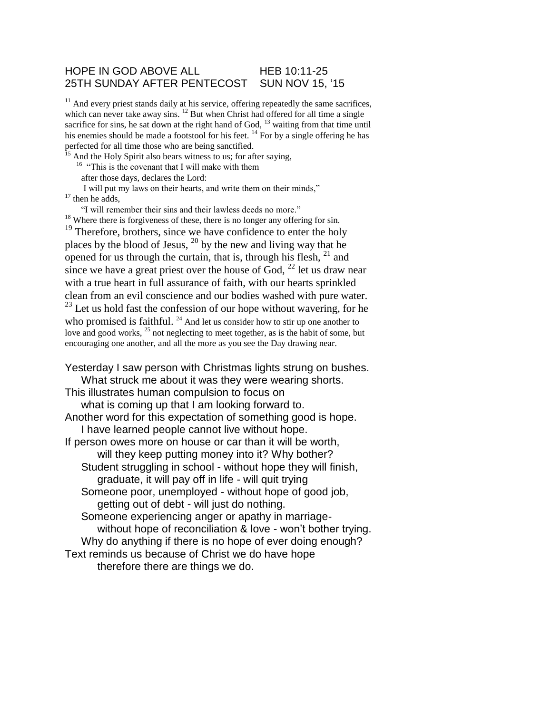## HOPE IN GOD ABOVE ALL HEB 10:11-25 25TH SUNDAY AFTER PENTECOST SUN NOV 15, '15

 $11$  And every priest stands daily at his service, offering repeatedly the same sacrifices, which can never take away sins.  $^{12}$  But when Christ had offered for all time a single sacrifice for sins, he sat down at the right hand of God,  $^{13}$  waiting from that time until his enemies should be made a footstool for his feet.  $^{14}$  For by a single offering he has perfected for all time those who are being sanctified.

 $15$  And the Holy Spirit also bears witness to us; for after saying,

<sup>16</sup> "This is the covenant that I will make with them

after those days, declares the Lord:

I will put my laws on their hearts, and write them on their minds,"  $17$  then he adds,

"I will remember their sins and their lawless deeds no more."

 $18$  Where there is forgiveness of these, there is no longer any offering for sin. <sup>19</sup> Therefore, brothers, since we have confidence to enter the holy places by the blood of Jesus, <sup>20</sup> by the new and living way that he opened for us through the curtain, that is, through his flesh,  $21$  and since we have a great priest over the house of God,  $^{22}$  let us draw near with a true heart in full assurance of faith, with our hearts sprinkled clean from an evil conscience and our bodies washed with pure water.  $23$  Let us hold fast the confession of our hope without wavering, for he who promised is faithful.  $24$  And let us consider how to stir up one another to love and good works, <sup>25</sup> not neglecting to meet together, as is the habit of some, but encouraging one another, and all the more as you see the Day drawing near.

Yesterday I saw person with Christmas lights strung on bushes. What struck me about it was they were wearing shorts. This illustrates human compulsion to focus on what is coming up that I am looking forward to. Another word for this expectation of something good is hope. I have learned people cannot live without hope. If person owes more on house or car than it will be worth, will they keep putting money into it? Why bother? Student struggling in school - without hope they will finish, graduate, it will pay off in life - will quit trying Someone poor, unemployed - without hope of good job, getting out of debt - will just do nothing. Someone experiencing anger or apathy in marriagewithout hope of reconciliation & love - won't bother trying. Why do anything if there is no hope of ever doing enough? Text reminds us because of Christ we do have hope therefore there are things we do.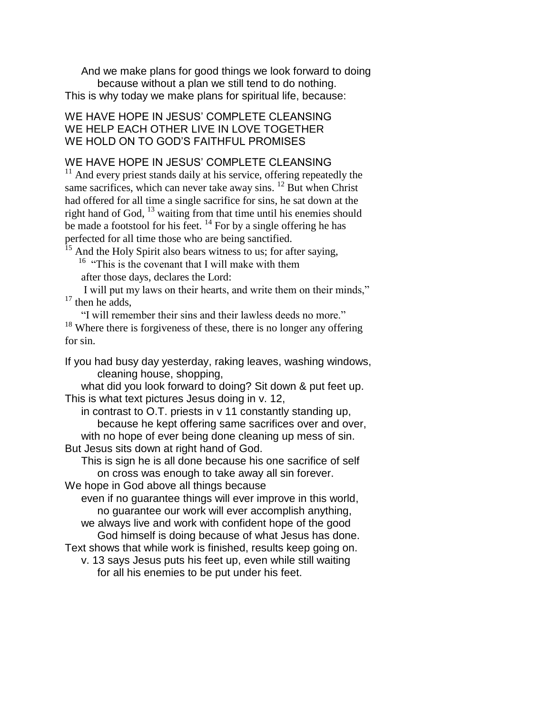And we make plans for good things we look forward to doing because without a plan we still tend to do nothing. This is why today we make plans for spiritual life, because:

## WE HAVE HOPE IN JESUS' COMPLETE CLEANSING WE HELP EACH OTHER LIVE IN LOVE TOGETHER WE HOLD ON TO GOD'S FAITHFUL PROMISES

## WE HAVE HOPE IN JESUS' COMPLETE CLEANSING

<sup>11</sup> And every priest stands daily at his service, offering repeatedly the same sacrifices, which can never take away sins. <sup>12</sup> But when Christ had offered for all time a single sacrifice for sins, he sat down at the right hand of God, <sup>13</sup> waiting from that time until his enemies should be made a footstool for his feet.  $^{14}$  For by a single offering he has perfected for all time those who are being sanctified.

And the Holy Spirit also bears witness to us; for after saying, <sup>16</sup> "This is the covenant that I will make with them after those days, declares the Lord:

I will put my laws on their hearts, and write them on their minds,"  $17$  then he adds,

"I will remember their sins and their lawless deeds no more."  $18$  Where there is forgiveness of these, there is no longer any offering for sin.

If you had busy day yesterday, raking leaves, washing windows, cleaning house, shopping,

what did you look forward to doing? Sit down & put feet up. This is what text pictures Jesus doing in v. 12,

in contrast to O.T. priests in v 11 constantly standing up, because he kept offering same sacrifices over and over, with no hope of ever being done cleaning up mess of sin. But Jesus sits down at right hand of God.

This is sign he is all done because his one sacrifice of self on cross was enough to take away all sin forever.

We hope in God above all things because

even if no guarantee things will ever improve in this world, no guarantee our work will ever accomplish anything, we always live and work with confident hope of the good

God himself is doing because of what Jesus has done. Text shows that while work is finished, results keep going on.

v. 13 says Jesus puts his feet up, even while still waiting for all his enemies to be put under his feet.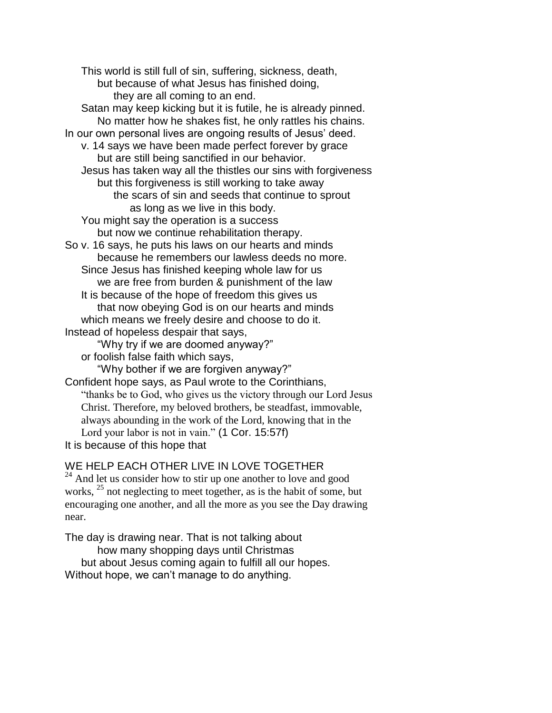This world is still full of sin, suffering, sickness, death, but because of what Jesus has finished doing, they are all coming to an end. Satan may keep kicking but it is futile, he is already pinned. No matter how he shakes fist, he only rattles his chains. In our own personal lives are ongoing results of Jesus' deed. v. 14 says we have been made perfect forever by grace but are still being sanctified in our behavior. Jesus has taken way all the thistles our sins with forgiveness but this forgiveness is still working to take away the scars of sin and seeds that continue to sprout as long as we live in this body. You might say the operation is a success but now we continue rehabilitation therapy. So v. 16 says, he puts his laws on our hearts and minds because he remembers our lawless deeds no more. Since Jesus has finished keeping whole law for us we are free from burden & punishment of the law It is because of the hope of freedom this gives us that now obeying God is on our hearts and minds which means we freely desire and choose to do it. Instead of hopeless despair that says, "Why try if we are doomed anyway?" or foolish false faith which says, "Why bother if we are forgiven anyway?" Confident hope says, as Paul wrote to the Corinthians, "thanks be to God, who gives us the victory through our Lord Jesus Christ. Therefore, my beloved brothers, be steadfast, immovable, always abounding in the work of the Lord, knowing that in the Lord your labor is not in vain." (1 Cor. 15:57f)

It is because of this hope that

WE HELP EACH OTHER LIVE IN LOVE TOGETHER

<sup>24</sup> And let us consider how to stir up one another to love and good works, <sup>25</sup> not neglecting to meet together, as is the habit of some, but encouraging one another, and all the more as you see the Day drawing near.

The day is drawing near. That is not talking about how many shopping days until Christmas but about Jesus coming again to fulfill all our hopes. Without hope, we can't manage to do anything.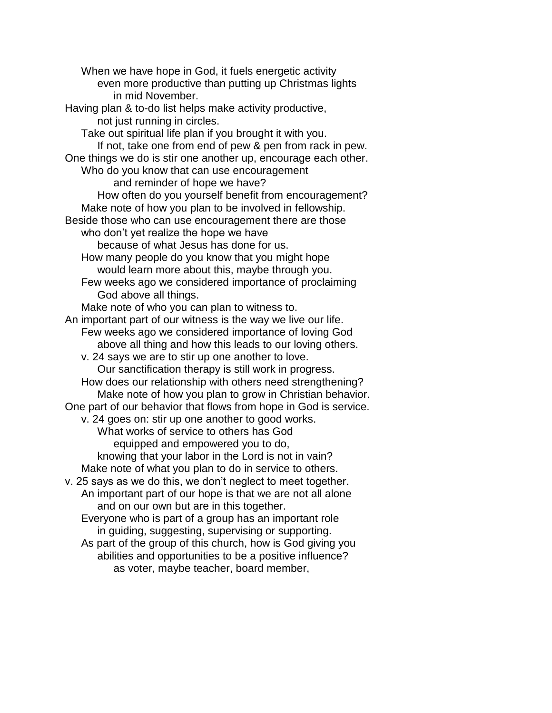When we have hope in God, it fuels energetic activity even more productive than putting up Christmas lights in mid November. Having plan & to-do list helps make activity productive, not just running in circles. Take out spiritual life plan if you brought it with you. If not, take one from end of pew & pen from rack in pew. One things we do is stir one another up, encourage each other. Who do you know that can use encouragement and reminder of hope we have? How often do you yourself benefit from encouragement? Make note of how you plan to be involved in fellowship. Beside those who can use encouragement there are those who don't yet realize the hope we have because of what Jesus has done for us. How many people do you know that you might hope would learn more about this, maybe through you. Few weeks ago we considered importance of proclaiming God above all things. Make note of who you can plan to witness to. An important part of our witness is the way we live our life. Few weeks ago we considered importance of loving God above all thing and how this leads to our loving others. v. 24 says we are to stir up one another to love. Our sanctification therapy is still work in progress. How does our relationship with others need strengthening? Make note of how you plan to grow in Christian behavior. One part of our behavior that flows from hope in God is service. v. 24 goes on: stir up one another to good works. What works of service to others has God equipped and empowered you to do, knowing that your labor in the Lord is not in vain? Make note of what you plan to do in service to others. v. 25 says as we do this, we don't neglect to meet together. An important part of our hope is that we are not all alone and on our own but are in this together. Everyone who is part of a group has an important role in guiding, suggesting, supervising or supporting. As part of the group of this church, how is God giving you abilities and opportunities to be a positive influence? as voter, maybe teacher, board member,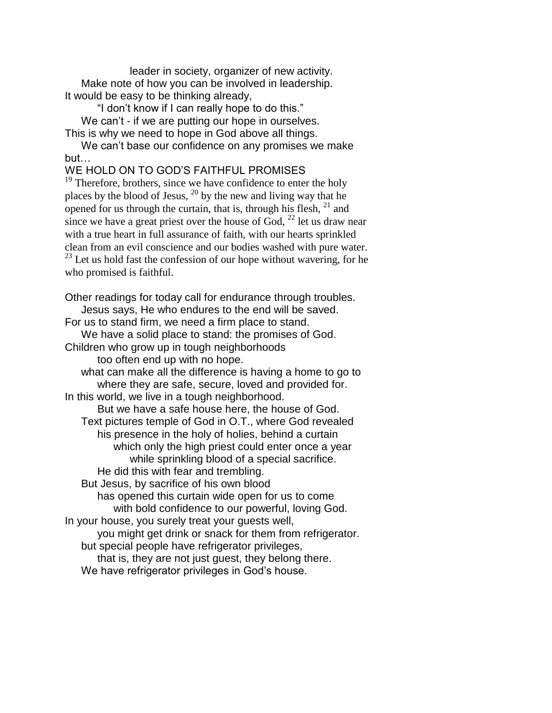leader in society, organizer of new activity. Make note of how you can be involved in leadership. It would be easy to be thinking already,

"I don't know if I can really hope to do this."

We can't - if we are putting our hope in ourselves. This is why we need to hope in God above all things.

We can't base our confidence on any promises we make but…

WE HOLD ON TO GOD'S FAITHFUL PROMISES

<sup>19</sup> Therefore, brothers, since we have confidence to enter the holy places by the blood of Jesus,  $20$  by the new and living way that he opened for us through the curtain, that is, through his flesh,  $21$  and since we have a great priest over the house of God,  $^{22}$  let us draw near with a true heart in full assurance of faith, with our hearts sprinkled clean from an evil conscience and our bodies washed with pure water.  $23$  Let us hold fast the confession of our hope without wavering, for he who promised is faithful.

Other readings for today call for endurance through troubles. Jesus says, He who endures to the end will be saved.

For us to stand firm, we need a firm place to stand. We have a solid place to stand: the promises of God.

Children who grow up in tough neighborhoods too often end up with no hope.

what can make all the difference is having a home to go to where they are safe, secure, loved and provided for.

In this world, we live in a tough neighborhood. But we have a safe house here, the house of God. Text pictures temple of God in O.T., where God revealed his presence in the holy of holies, behind a curtain which only the high priest could enter once a year while sprinkling blood of a special sacrifice. He did this with fear and trembling.

But Jesus, by sacrifice of his own blood

has opened this curtain wide open for us to come with bold confidence to our powerful, loving God.

In your house, you surely treat your guests well,

you might get drink or snack for them from refrigerator. but special people have refrigerator privileges,

that is, they are not just guest, they belong there.

We have refrigerator privileges in God's house.